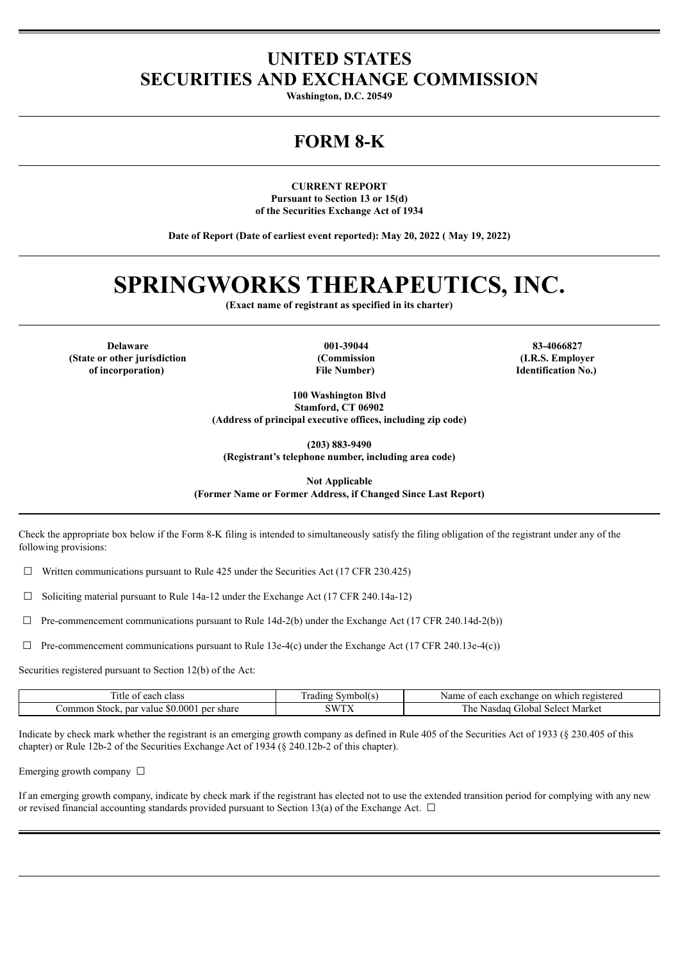## **UNITED STATES SECURITIES AND EXCHANGE COMMISSION**

**Washington, D.C. 20549**

## **FORM 8-K**

**CURRENT REPORT Pursuant to Section 13 or 15(d) of the Securities Exchange Act of 1934**

**Date of Report (Date of earliest event reported): May 20, 2022 ( May 19, 2022)**

# **SPRINGWORKS THERAPEUTICS, INC.**

**(Exact name of registrant as specified in its charter)**

**Delaware 001-39044 83-4066827 (State or other jurisdiction of incorporation)**

**(Commission File Number)**

**(I.R.S. Employer Identification No.)**

**100 Washington Blvd Stamford, CT 06902 (Address of principal executive offices, including zip code)**

**(203) 883-9490**

**(Registrant's telephone number, including area code)**

**Not Applicable**

**(Former Name or Former Address, if Changed Since Last Report)**

Check the appropriate box below if the Form 8-K filing is intended to simultaneously satisfy the filing obligation of the registrant under any of the following provisions:

 $\Box$  Written communications pursuant to Rule 425 under the Securities Act (17 CFR 230.425)

☐ Soliciting material pursuant to Rule 14a-12 under the Exchange Act (17 CFR 240.14a-12)

 $\Box$  Pre-commencement communications pursuant to Rule 14d-2(b) under the Exchange Act (17 CFR 240.14d-2(b))

 $\Box$  Pre-commencement communications pursuant to Rule 13e-4(c) under the Exchange Act (17 CFR 240.13e-4(c))

Securities registered pursuant to Section 12(b) of the Act:

| class<br>l itle<br>each<br>- OT                           | Symbol(s<br>.radıng | each<br>on<br>registered<br>Name<br>exchange `<br>which<br>- 01 |
|-----------------------------------------------------------|---------------------|-----------------------------------------------------------------|
| \$0,0001<br>per<br>∴ommon<br>par value<br>share<br>Stock. | SWT)                | 1 he<br>Market<br>Select<br>Global<br>Nasdad                    |

Indicate by check mark whether the registrant is an emerging growth company as defined in Rule 405 of the Securities Act of 1933 (§ 230.405 of this chapter) or Rule 12b-2 of the Securities Exchange Act of 1934 (§ 240.12b-2 of this chapter).

Emerging growth company  $\Box$ 

If an emerging growth company, indicate by check mark if the registrant has elected not to use the extended transition period for complying with any new or revised financial accounting standards provided pursuant to Section 13(a) of the Exchange Act.  $\Box$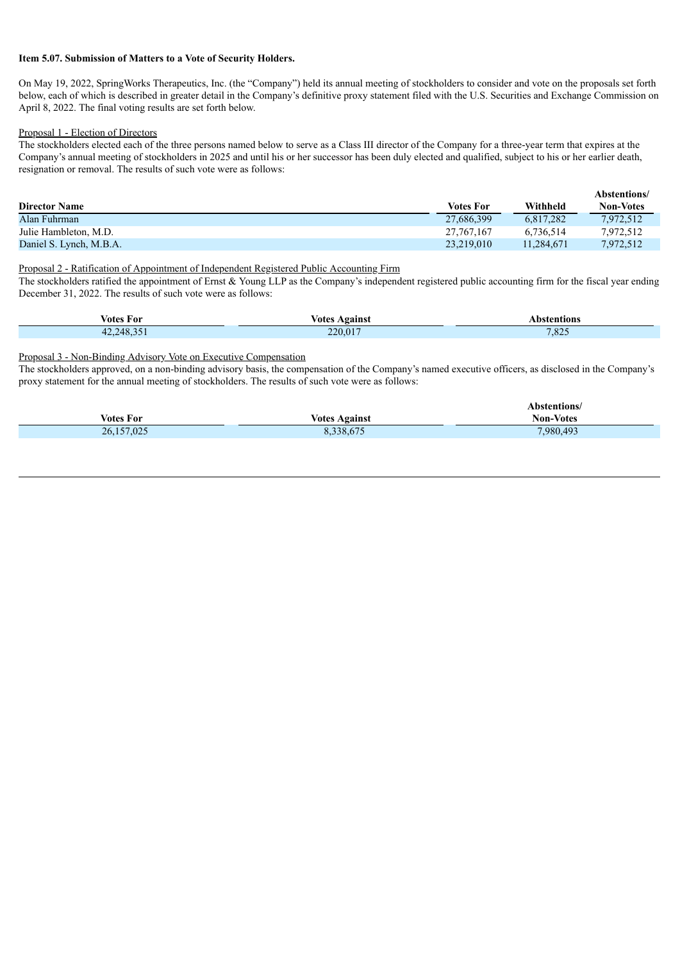#### **Item 5.07. Submission of Matters to a Vote of Security Holders.**

On May 19, 2022, SpringWorks Therapeutics, Inc. (the "Company") held its annual meeting of stockholders to consider and vote on the proposals set forth below, each of which is described in greater detail in the Company's definitive proxy statement filed with the U.S. Securities and Exchange Commission on April 8, 2022. The final voting results are set forth below.

#### Proposal 1 - Election of Directors

The stockholders elected each of the three persons named below to serve as a Class III director of the Company for a three-year term that expires at the Company's annual meeting of stockholders in 2025 and until his or her successor has been duly elected and qualified, subject to his or her earlier death, resignation or removal. The results of such vote were as follows:

|                         |                  |            | Abstentions/     |
|-------------------------|------------------|------------|------------------|
| <b>Director Name</b>    | <b>Votes For</b> | Withheld   | <b>Non-Votes</b> |
| Alan Fuhrman            | 27,686,399       | 6.817.282  | 7,972,512        |
| Julie Hambleton, M.D.   | 27, 767, 167     | 6.736.514  | 7,972,512        |
| Daniel S. Lynch, M.B.A. | 23.219.010       | 11.284.671 | 7.972.512        |

Proposal 2 - Ratification of Appointment of Independent Registered Public Accounting Firm

The stockholders ratified the appointment of Ernst & Young LLP as the Company's independent registered public accounting firm for the fiscal year ending December 31, 2022. The results of such vote were as follows:

| votes For | Votes<br>l aainet | ٦MN   |
|-----------|-------------------|-------|
| 248       | 220.017           | 7.025 |
| 42.1      | $-220$            | ,825  |

### Proposal 3 - Non-Binding Advisory Vote on Executive Compensation

The stockholders approved, on a non-binding advisory basis, the compensation of the Company's named executive officers, as disclosed in the Company's proxy statement for the annual meeting of stockholders. The results of such vote were as follows:

|                  |                      | Abstentions/     |
|------------------|----------------------|------------------|
| <b>Votes For</b> | <b>Votes Against</b> | <b>Non-Votes</b> |
| 26,157,025       | 8,338,675            | 7,980,493        |